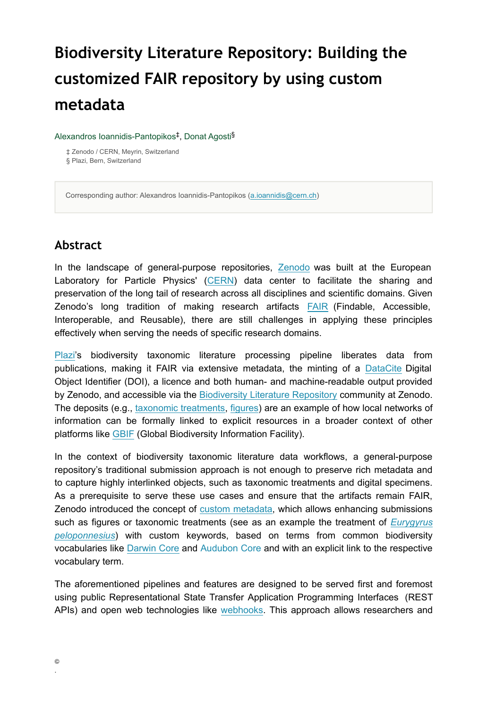# **Biodiversity Literature Repository: Building the customized FAIR repository by using custom metadata**

Alexandros Ioannidis-Pantopikos<sup>‡</sup>, Donat Agosti<sup>§</sup>

‡ Zenodo / CERN, Meyrin, Switzerland § Plazi, Bern, Switzerland

Corresponding author: Alexandros Ioannidis-Pantopikos [\(a.ioannidis@cern.ch\)](mailto:a.ioannidis@cern.ch)

#### **Abstract**

In the landscape of general-purpose repositories, [Zenodo](https://zenodo.org/) was built at the European Laboratory for Particle Physics' ([CERN](https://home.cern/)) data center to facilitate the sharing and preservation of the long tail of research across all disciplines and scientific domains. Given Zenodo's long tradition of making research artifacts **FAIR** (Findable, Accessible, Interoperable, and Reusable), there are still challenges in applying these principles effectively when serving the needs of specific research domains.

[Plazi'](http://plazi.org/)s biodiversity taxonomic literature processing pipeline liberates data from publications, making it FAIR via extensive metadata, the minting of a [DataCite](https://datacite.org/) Digital Object Identifier (DOI), a licence and both human- and machine-readable output provided by Zenodo, and accessible via the [Biodiversity Literature Repository](https://zenodo.org/communities/biosyslit/?page=1&size=20) community at Zenodo. The deposits (e.g., [taxonomic treatments](https://zenodo.org/communities/biosyslit/search?page=1&size=20&subtype=taxonomictreatment), [figures](https://zenodo.org/communities/biosyslit/search?page=1&size=20&type=image)) are an example of how local networks of information can be formally linked to explicit resources in a broader context of other platforms like [GBIF](https://www.gbif.org/) (Global Biodiversity Information Facility).

In the context of biodiversity taxonomic literature data workflows, a general-purpose repository's traditional submission approach is not enough to preserve rich metadata and to capture highly interlinked objects, such as taxonomic treatments and digital specimens. As a prerequisite to serve these use cases and ensure that the artifacts remain FAIR, Zenodo introduced the concept of [custom metadata](https://doi.org/10.5281/zenodo.4531723#:~:text=Custom%20keywords,-%3A), which allows enhancing submissions such as figures or taxonomic treatments (see as an example the treatment of *[Eurygyrus](https://doi.org/10.5281/zenodo.5236731) [peloponnesius](https://doi.org/10.5281/zenodo.5236731)*) with custom keywords, based on terms from common biodiversity vocabularies like [Darwin Core](https://dwc.tdwg.org/) and [Audubon Core](https://www.tdwg.org/standards/ac/) and with an explicit link to the respective vocabulary term.

The aforementioned pipelines and features are designed to be served first and foremost using public Representational State Transfer Application Programming Interfaces (REST APIs) and open web technologies like [webhooks.](https://en.wikipedia.org/wiki/Webhook) This approach allows researchers and